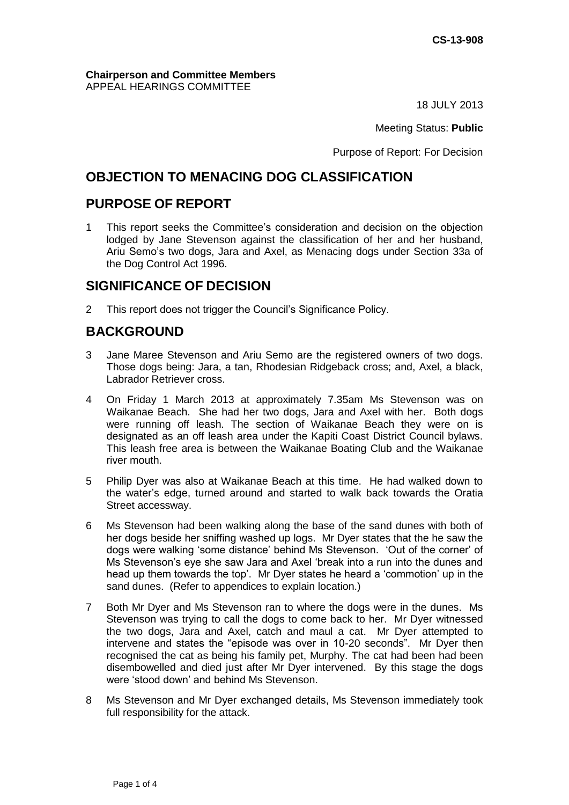#### **Chairperson and Committee Members** APPEAL HEARINGS COMMITTEE

18 JULY 2013

Meeting Status: **Public**

Purpose of Report: For Decision

# **OBJECTION TO MENACING DOG CLASSIFICATION**

# **PURPOSE OF REPORT**

1 This report seeks the Committee's consideration and decision on the objection lodged by Jane Stevenson against the classification of her and her husband, Ariu Semo's two dogs, Jara and Axel, as Menacing dogs under Section 33a of the Dog Control Act 1996.

# **SIGNIFICANCE OF DECISION**

2 This report does not trigger the Council's Significance Policy.

# **BACKGROUND**

- 3 Jane Maree Stevenson and Ariu Semo are the registered owners of two dogs. Those dogs being: Jara, a tan, Rhodesian Ridgeback cross; and, Axel, a black, Labrador Retriever cross.
- 4 On Friday 1 March 2013 at approximately 7.35am Ms Stevenson was on Waikanae Beach. She had her two dogs, Jara and Axel with her. Both dogs were running off leash. The section of Waikanae Beach they were on is designated as an off leash area under the Kapiti Coast District Council bylaws. This leash free area is between the Waikanae Boating Club and the Waikanae river mouth.
- 5 Philip Dyer was also at Waikanae Beach at this time. He had walked down to the water's edge, turned around and started to walk back towards the Oratia Street accessway.
- 6 Ms Stevenson had been walking along the base of the sand dunes with both of her dogs beside her sniffing washed up logs. Mr Dyer states that the he saw the dogs were walking 'some distance' behind Ms Stevenson. 'Out of the corner' of Ms Stevenson's eye she saw Jara and Axel 'break into a run into the dunes and head up them towards the top'. Mr Dyer states he heard a 'commotion' up in the sand dunes. (Refer to appendices to explain location.)
- 7 Both Mr Dyer and Ms Stevenson ran to where the dogs were in the dunes. Ms Stevenson was trying to call the dogs to come back to her. Mr Dyer witnessed the two dogs, Jara and Axel, catch and maul a cat. Mr Dyer attempted to intervene and states the "episode was over in 10-20 seconds". Mr Dyer then recognised the cat as being his family pet, Murphy. The cat had been had been disembowelled and died just after Mr Dyer intervened. By this stage the dogs were 'stood down' and behind Ms Stevenson.
- 8 Ms Stevenson and Mr Dyer exchanged details, Ms Stevenson immediately took full responsibility for the attack.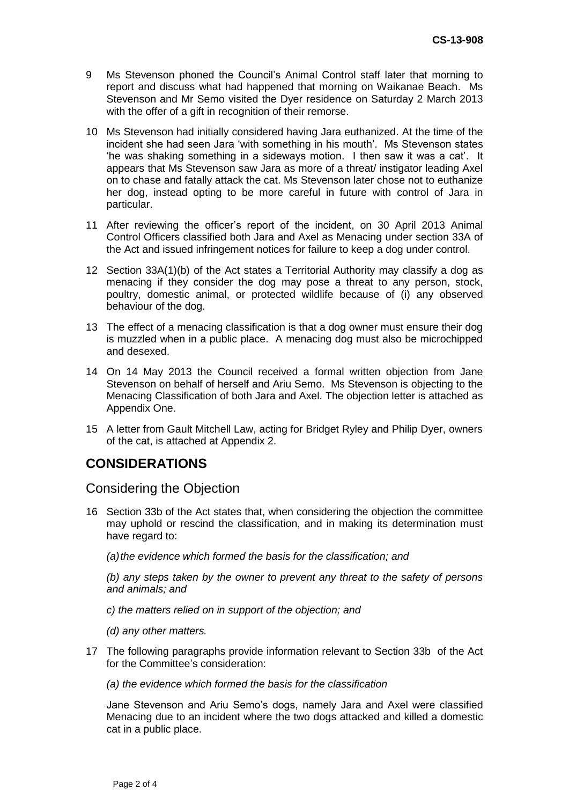- 9 Ms Stevenson phoned the Council's Animal Control staff later that morning to report and discuss what had happened that morning on Waikanae Beach. Ms Stevenson and Mr Semo visited the Dyer residence on Saturday 2 March 2013 with the offer of a gift in recognition of their remorse.
- 10 Ms Stevenson had initially considered having Jara euthanized. At the time of the incident she had seen Jara 'with something in his mouth'. Ms Stevenson states 'he was shaking something in a sideways motion. I then saw it was a cat'. It appears that Ms Stevenson saw Jara as more of a threat/ instigator leading Axel on to chase and fatally attack the cat. Ms Stevenson later chose not to euthanize her dog, instead opting to be more careful in future with control of Jara in particular.
- 11 After reviewing the officer's report of the incident, on 30 April 2013 Animal Control Officers classified both Jara and Axel as Menacing under section 33A of the Act and issued infringement notices for failure to keep a dog under control.
- 12 Section 33A(1)(b) of the Act states a Territorial Authority may classify a dog as menacing if they consider the dog may pose a threat to any person, stock, poultry, domestic animal, or protected wildlife because of (i) any observed behaviour of the dog.
- 13 The effect of a menacing classification is that a dog owner must ensure their dog is muzzled when in a public place. A menacing dog must also be microchipped and desexed.
- 14 On 14 May 2013 the Council received a formal written objection from Jane Stevenson on behalf of herself and Ariu Semo. Ms Stevenson is objecting to the Menacing Classification of both Jara and Axel. The objection letter is attached as Appendix One.
- 15 A letter from Gault Mitchell Law, acting for Bridget Ryley and Philip Dyer, owners of the cat, is attached at Appendix 2.

# **CONSIDERATIONS**

## Considering the Objection

16 Section 33b of the Act states that, when considering the objection the committee may uphold or rescind the classification, and in making its determination must have regard to:

*(a)the evidence which formed the basis for the classification; and*

*(b) any steps taken by the owner to prevent any threat to the safety of persons and animals; and*

*c) the matters relied on in support of the objection; and*

- *(d) any other matters.*
- 17 The following paragraphs provide information relevant to Section 33b of the Act for the Committee's consideration:
	- *(a) the evidence which formed the basis for the classification*

Jane Stevenson and Ariu Semo's dogs, namely Jara and Axel were classified Menacing due to an incident where the two dogs attacked and killed a domestic cat in a public place.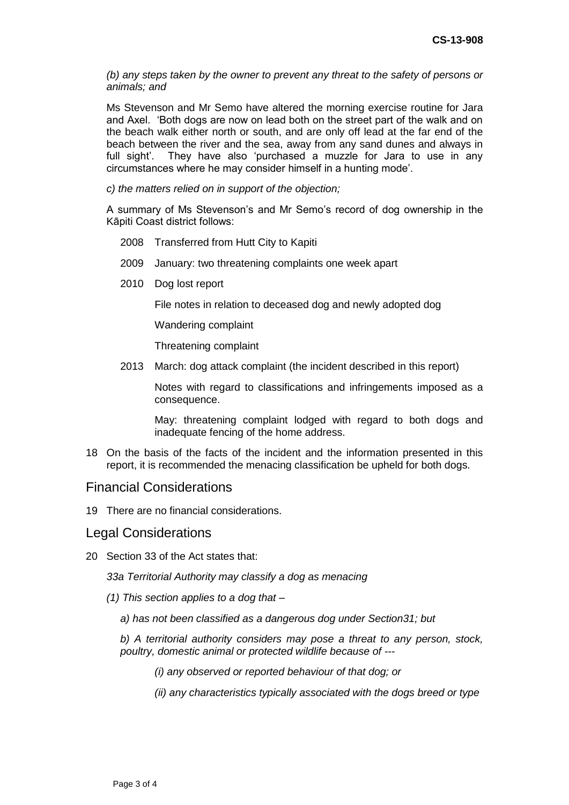*(b) any steps taken by the owner to prevent any threat to the safety of persons or animals; and*

Ms Stevenson and Mr Semo have altered the morning exercise routine for Jara and Axel. 'Both dogs are now on lead both on the street part of the walk and on the beach walk either north or south, and are only off lead at the far end of the beach between the river and the sea, away from any sand dunes and always in full sight'. They have also 'purchased a muzzle for Jara to use in any circumstances where he may consider himself in a hunting mode'.

*c) the matters relied on in support of the objection;* 

A summary of Ms Stevenson's and Mr Semo's record of dog ownership in the Kāpiti Coast district follows:

- 2008 Transferred from Hutt City to Kapiti
- 2009 January: two threatening complaints one week apart
- 2010 Dog lost report

File notes in relation to deceased dog and newly adopted dog

Wandering complaint

Threatening complaint

2013 March: dog attack complaint (the incident described in this report)

Notes with regard to classifications and infringements imposed as a consequence.

May: threatening complaint lodged with regard to both dogs and inadequate fencing of the home address.

18 On the basis of the facts of the incident and the information presented in this report, it is recommended the menacing classification be upheld for both dogs.

#### Financial Considerations

19 There are no financial considerations.

### Legal Considerations

20 Section 33 of the Act states that:

*33a Territorial Authority may classify a dog as menacing*

- *(1) This section applies to a dog that –*
	- *a) has not been classified as a dangerous dog under Section31; but*

*b) A territorial authority considers may pose a threat to any person, stock, poultry, domestic animal or protected wildlife because of ---*

*(i) any observed or reported behaviour of that dog; or*

*(ii) any characteristics typically associated with the dogs breed or type*